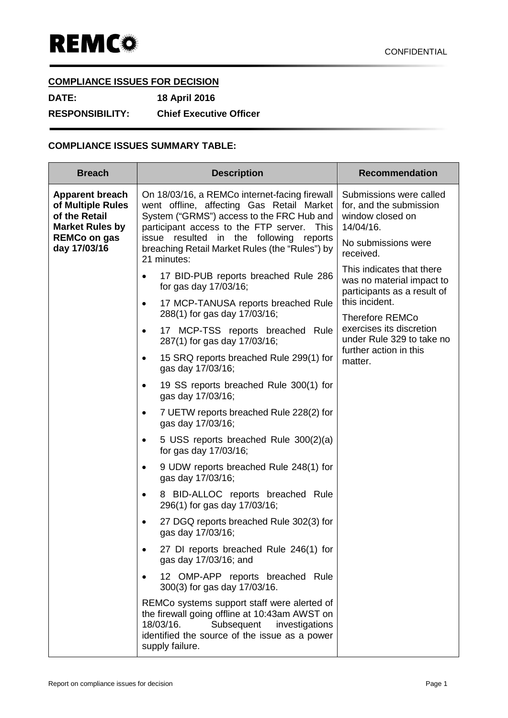## **COMPLIANCE ISSUES FOR DECISION**

**DATE: 18 April 2016 RESPONSIBILITY: Chief Executive Officer**

## **COMPLIANCE ISSUES SUMMARY TABLE:**

| <b>Breach</b>                                                                                                                 | <b>Description</b>                                                                                                                                                                                                                                                                                            | <b>Recommendation</b>                                                                                                                                                                                                                                                                                                                                      |
|-------------------------------------------------------------------------------------------------------------------------------|---------------------------------------------------------------------------------------------------------------------------------------------------------------------------------------------------------------------------------------------------------------------------------------------------------------|------------------------------------------------------------------------------------------------------------------------------------------------------------------------------------------------------------------------------------------------------------------------------------------------------------------------------------------------------------|
| <b>Apparent breach</b><br>of Multiple Rules<br>of the Retail<br><b>Market Rules by</b><br><b>REMCo on gas</b><br>day 17/03/16 | On 18/03/16, a REMCo internet-facing firewall<br>went offline, affecting Gas Retail Market<br>System ("GRMS") access to the FRC Hub and<br>participant access to the FTP server.<br>This<br>resulted<br>in the following<br>issue<br>reports<br>breaching Retail Market Rules (the "Rules") by<br>21 minutes: | Submissions were called<br>for, and the submission<br>window closed on<br>14/04/16.<br>No submissions were<br>received.<br>This indicates that there<br>was no material impact to<br>participants as a result of<br>this incident.<br><b>Therefore REMCo</b><br>exercises its discretion<br>under Rule 329 to take no<br>further action in this<br>matter. |
|                                                                                                                               | 17 BID-PUB reports breached Rule 286<br>for gas day 17/03/16;                                                                                                                                                                                                                                                 |                                                                                                                                                                                                                                                                                                                                                            |
|                                                                                                                               | 17 MCP-TANUSA reports breached Rule<br>$\bullet$<br>288(1) for gas day 17/03/16;                                                                                                                                                                                                                              |                                                                                                                                                                                                                                                                                                                                                            |
|                                                                                                                               | 17 MCP-TSS reports breached Rule<br>$\bullet$<br>287(1) for gas day 17/03/16;                                                                                                                                                                                                                                 |                                                                                                                                                                                                                                                                                                                                                            |
|                                                                                                                               | 15 SRQ reports breached Rule 299(1) for<br>$\bullet$<br>gas day 17/03/16;                                                                                                                                                                                                                                     |                                                                                                                                                                                                                                                                                                                                                            |
|                                                                                                                               | 19 SS reports breached Rule 300(1) for<br>$\bullet$<br>gas day 17/03/16;                                                                                                                                                                                                                                      |                                                                                                                                                                                                                                                                                                                                                            |
|                                                                                                                               | 7 UETW reports breached Rule 228(2) for<br>$\bullet$<br>gas day 17/03/16;                                                                                                                                                                                                                                     |                                                                                                                                                                                                                                                                                                                                                            |
|                                                                                                                               | 5 USS reports breached Rule 300(2)(a)<br>$\bullet$<br>for gas day 17/03/16;                                                                                                                                                                                                                                   |                                                                                                                                                                                                                                                                                                                                                            |
|                                                                                                                               | 9 UDW reports breached Rule 248(1) for<br>$\bullet$<br>gas day 17/03/16;                                                                                                                                                                                                                                      |                                                                                                                                                                                                                                                                                                                                                            |
|                                                                                                                               | 8 BID-ALLOC reports breached Rule<br>$\bullet$<br>296(1) for gas day 17/03/16;                                                                                                                                                                                                                                |                                                                                                                                                                                                                                                                                                                                                            |
|                                                                                                                               | 27 DGQ reports breached Rule 302(3) for<br>gas day 17/03/16;                                                                                                                                                                                                                                                  |                                                                                                                                                                                                                                                                                                                                                            |
|                                                                                                                               | 27 DI reports breached Rule 246(1) for<br>gas day 17/03/16; and                                                                                                                                                                                                                                               |                                                                                                                                                                                                                                                                                                                                                            |
|                                                                                                                               | 12 OMP-APP reports breached Rule<br>300(3) for gas day 17/03/16.                                                                                                                                                                                                                                              |                                                                                                                                                                                                                                                                                                                                                            |
|                                                                                                                               | REMCo systems support staff were alerted of<br>the firewall going offline at 10:43am AWST on<br>18/03/16.<br>Subsequent<br>investigations<br>identified the source of the issue as a power<br>supply failure.                                                                                                 |                                                                                                                                                                                                                                                                                                                                                            |